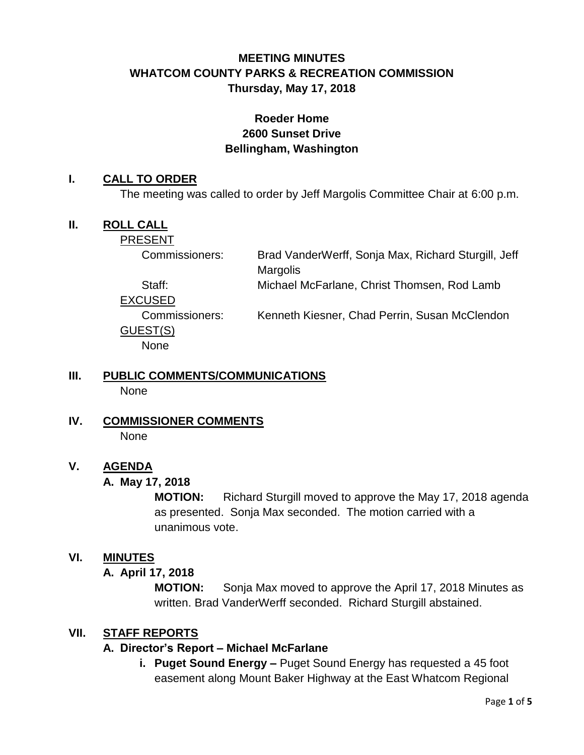# **MEETING MINUTES WHATCOM COUNTY PARKS & RECREATION COMMISSION Thursday, May 17, 2018**

# **Roeder Home 2600 Sunset Drive Bellingham, Washington**

#### **I. CALL TO ORDER**

The meeting was called to order by Jeff Margolis Committee Chair at 6:00 p.m.

### **II. ROLL CALL**

PRESENT

Commissioners: Brad VanderWerff, Sonja Max, Richard Sturgill, Jeff **Margolis** 

Staff: Michael McFarlane, Christ Thomsen, Rod Lamb

EXCUSED

Commissioners: Kenneth Kiesner, Chad Perrin, Susan McClendon GUEST(S) **None** 

# **III. PUBLIC COMMENTS/COMMUNICATIONS**

None

**IV. COMMISSIONER COMMENTS** None

# **V. AGENDA**

# **A. May 17, 2018**

**MOTION:** Richard Sturgill moved to approve the May 17, 2018 agenda as presented. Sonja Max seconded. The motion carried with a unanimous vote.

# **VI. MINUTES**

# **A. April 17, 2018**

**MOTION:** Sonja Max moved to approve the April 17, 2018 Minutes as written. Brad VanderWerff seconded. Richard Sturgill abstained.

# **VII. STAFF REPORTS**

# **A. Director's Report – Michael McFarlane**

**i. Puget Sound Energy –** Puget Sound Energy has requested a 45 foot easement along Mount Baker Highway at the East Whatcom Regional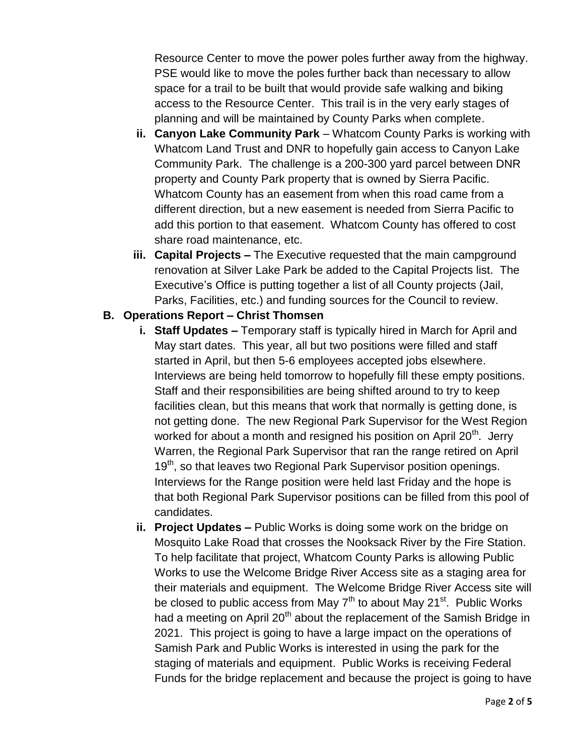Resource Center to move the power poles further away from the highway. PSE would like to move the poles further back than necessary to allow space for a trail to be built that would provide safe walking and biking access to the Resource Center. This trail is in the very early stages of planning and will be maintained by County Parks when complete.

- **ii. Canyon Lake Community Park** Whatcom County Parks is working with Whatcom Land Trust and DNR to hopefully gain access to Canyon Lake Community Park. The challenge is a 200-300 yard parcel between DNR property and County Park property that is owned by Sierra Pacific. Whatcom County has an easement from when this road came from a different direction, but a new easement is needed from Sierra Pacific to add this portion to that easement. Whatcom County has offered to cost share road maintenance, etc.
- **iii. Capital Projects –** The Executive requested that the main campground renovation at Silver Lake Park be added to the Capital Projects list. The Executive's Office is putting together a list of all County projects (Jail, Parks, Facilities, etc.) and funding sources for the Council to review.

### **B. Operations Report – Christ Thomsen**

- **i. Staff Updates –** Temporary staff is typically hired in March for April and May start dates. This year, all but two positions were filled and staff started in April, but then 5-6 employees accepted jobs elsewhere. Interviews are being held tomorrow to hopefully fill these empty positions. Staff and their responsibilities are being shifted around to try to keep facilities clean, but this means that work that normally is getting done, is not getting done. The new Regional Park Supervisor for the West Region worked for about a month and resigned his position on April 20<sup>th</sup>. Jerry Warren, the Regional Park Supervisor that ran the range retired on April 19<sup>th</sup>, so that leaves two Regional Park Supervisor position openings. Interviews for the Range position were held last Friday and the hope is that both Regional Park Supervisor positions can be filled from this pool of candidates.
- **ii. Project Updates –** Public Works is doing some work on the bridge on Mosquito Lake Road that crosses the Nooksack River by the Fire Station. To help facilitate that project, Whatcom County Parks is allowing Public Works to use the Welcome Bridge River Access site as a staging area for their materials and equipment. The Welcome Bridge River Access site will be closed to public access from May 7<sup>th</sup> to about May 21<sup>st</sup>. Public Works had a meeting on April  $20<sup>th</sup>$  about the replacement of the Samish Bridge in 2021. This project is going to have a large impact on the operations of Samish Park and Public Works is interested in using the park for the staging of materials and equipment. Public Works is receiving Federal Funds for the bridge replacement and because the project is going to have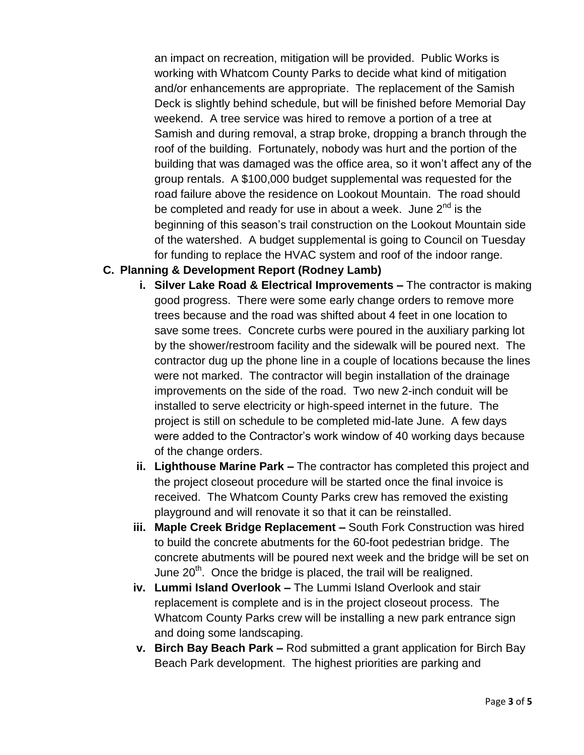an impact on recreation, mitigation will be provided. Public Works is working with Whatcom County Parks to decide what kind of mitigation and/or enhancements are appropriate. The replacement of the Samish Deck is slightly behind schedule, but will be finished before Memorial Day weekend. A tree service was hired to remove a portion of a tree at Samish and during removal, a strap broke, dropping a branch through the roof of the building. Fortunately, nobody was hurt and the portion of the building that was damaged was the office area, so it won't affect any of the group rentals. A \$100,000 budget supplemental was requested for the road failure above the residence on Lookout Mountain. The road should be completed and ready for use in about a week. June  $2^{nd}$  is the beginning of this season's trail construction on the Lookout Mountain side of the watershed. A budget supplemental is going to Council on Tuesday for funding to replace the HVAC system and roof of the indoor range.

# **C. Planning & Development Report (Rodney Lamb)**

- **i. Silver Lake Road & Electrical Improvements –** The contractor is making good progress. There were some early change orders to remove more trees because and the road was shifted about 4 feet in one location to save some trees. Concrete curbs were poured in the auxiliary parking lot by the shower/restroom facility and the sidewalk will be poured next. The contractor dug up the phone line in a couple of locations because the lines were not marked. The contractor will begin installation of the drainage improvements on the side of the road. Two new 2-inch conduit will be installed to serve electricity or high-speed internet in the future. The project is still on schedule to be completed mid-late June. A few days were added to the Contractor's work window of 40 working days because of the change orders.
- **ii. Lighthouse Marine Park –** The contractor has completed this project and the project closeout procedure will be started once the final invoice is received. The Whatcom County Parks crew has removed the existing playground and will renovate it so that it can be reinstalled.
- **iii. Maple Creek Bridge Replacement –** South Fork Construction was hired to build the concrete abutments for the 60-foot pedestrian bridge. The concrete abutments will be poured next week and the bridge will be set on June  $20<sup>th</sup>$ . Once the bridge is placed, the trail will be realigned.
- **iv. Lummi Island Overlook –** The Lummi Island Overlook and stair replacement is complete and is in the project closeout process. The Whatcom County Parks crew will be installing a new park entrance sign and doing some landscaping.
- **v. Birch Bay Beach Park –** Rod submitted a grant application for Birch Bay Beach Park development. The highest priorities are parking and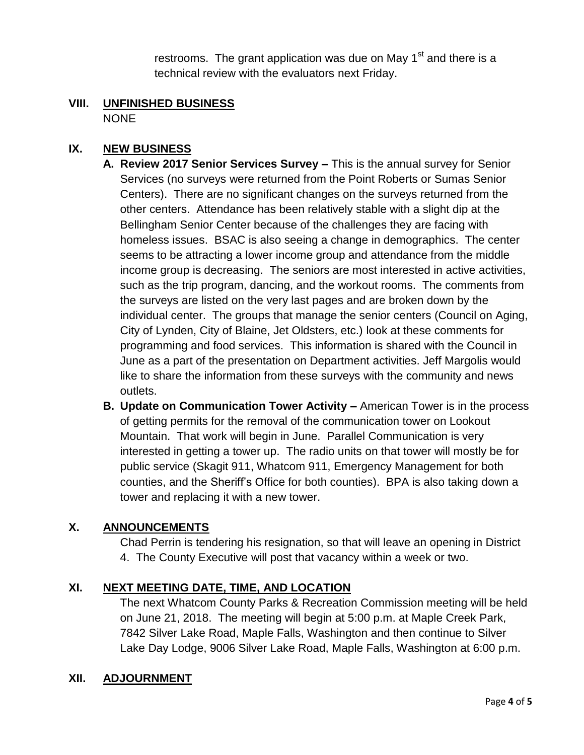restrooms. The grant application was due on May  $1<sup>st</sup>$  and there is a technical review with the evaluators next Friday.

#### **VIII. UNFINISHED BUSINESS** NONE

# **IX. NEW BUSINESS**

- **A. Review 2017 Senior Services Survey –** This is the annual survey for Senior Services (no surveys were returned from the Point Roberts or Sumas Senior Centers). There are no significant changes on the surveys returned from the other centers. Attendance has been relatively stable with a slight dip at the Bellingham Senior Center because of the challenges they are facing with homeless issues. BSAC is also seeing a change in demographics. The center seems to be attracting a lower income group and attendance from the middle income group is decreasing. The seniors are most interested in active activities, such as the trip program, dancing, and the workout rooms. The comments from the surveys are listed on the very last pages and are broken down by the individual center. The groups that manage the senior centers (Council on Aging, City of Lynden, City of Blaine, Jet Oldsters, etc.) look at these comments for programming and food services. This information is shared with the Council in June as a part of the presentation on Department activities. Jeff Margolis would like to share the information from these surveys with the community and news outlets.
- **B. Update on Communication Tower Activity –** American Tower is in the process of getting permits for the removal of the communication tower on Lookout Mountain. That work will begin in June. Parallel Communication is very interested in getting a tower up. The radio units on that tower will mostly be for public service (Skagit 911, Whatcom 911, Emergency Management for both counties, and the Sheriff's Office for both counties). BPA is also taking down a tower and replacing it with a new tower.

#### **X. ANNOUNCEMENTS**

Chad Perrin is tendering his resignation, so that will leave an opening in District 4. The County Executive will post that vacancy within a week or two.

# **XI. NEXT MEETING DATE, TIME, AND LOCATION**

The next Whatcom County Parks & Recreation Commission meeting will be held on June 21, 2018. The meeting will begin at 5:00 p.m. at Maple Creek Park, 7842 Silver Lake Road, Maple Falls, Washington and then continue to Silver Lake Day Lodge, 9006 Silver Lake Road, Maple Falls, Washington at 6:00 p.m.

# **XII. ADJOURNMENT**